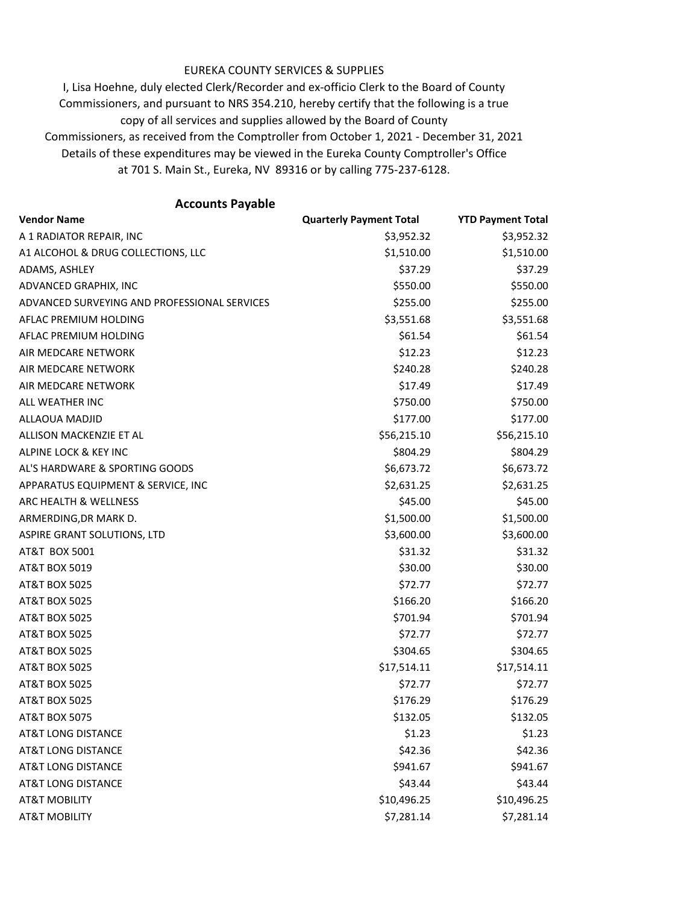## EUREKA COUNTY SERVICES & SUPPLIES

Details of these expenditures may be viewed in the Eureka County Comptroller's Office at 701 S. Main St., Eureka, NV 89316 or by calling 775-237-6128. I, Lisa Hoehne, duly elected Clerk/Recorder and ex-officio Clerk to the Board of County Commissioners, and pursuant to NRS 354.210, hereby certify that the following is a true copy of all services and supplies allowed by the Board of County Commissioners, as received from the Comptroller from October 1, 2021 - December 31, 2021

**Vendor Name Quarterly Payment Total YTD Payment Total** A 1 RADIATOR REPAIR, INC \$3,952.32 \$3,952.32 A1 ALCOHOL & DRUG COLLECTIONS, LLC  $$1,510.00$  \$1,510.00 \$1,510.00 ADAMS, ASHLEY \$37.29 \$37.29 ADVANCED GRAPHIX, INC \$550.00 \$550.00 ADVANCED SURVEYING AND PROFESSIONAL SERVICES  $$255.00$  \$255.00 \$255.00 AFLAC PREMIUM HOLDING **\$3,551.68** \$3,551.68 \$3,551.68 AFLAC PREMIUM HOLDING  $$61.54$  \$61.54  $$61.54$ AIR MEDCARE NETWORK \$12.23 \$12.23 AIR MEDCARE NETWORK \$240.28 \$240.28 \$240.28 AIR MEDCARE NETWORK \$17.49 \$17.49 ALL WEATHER INC \$750.00 \$750.00 ALLAOUA MADJID \$177.00 \$177.00 \$177.00 ALLISON MACKENZIE ET AL **ALLISON MACKENZIE ET AL SEGLISON MACKENZIE ET AL** ALPINE LOCK & KEY INC \$804.29 \$804.29 \$804.29 AL'S HARDWARE & SPORTING GOODS \$6,673.72 \$6,673.72 \$6,673.72 APPARATUS EQUIPMENT & SERVICE, INC \$2,631.25 \$2,631.25 \$2,631.25 ARC HEALTH & WELLNESS **\$45.00** \$45.00 \$45.00 ARMERDING,DR MARK D. \$1,500.00 \$1,500.00 ASPIRE GRANT SOLUTIONS, LTD  $$3,600.00$  \$3,600.00 \$3,600.00 AT&T BOX 5001 \$31.32 \$31.32 AT&T BOX 5019 \$30.00 \$30.00 \$30.00 \$30.00 \$30.00 \$30.00 \$30.00 \$30.00 \$30.00 \$30.00 \$30.00 \$30.00 \$ AT&T BOX 5025 \$72.77 \$72.77 AT&T BOX 5025 \$166.20 \$166.20 \$166.20 \$166.20 AT&T BOX 5025 \$701.94 \$701.94 AT&T BOX 5025 \$72.77 \$72.77 AT&T BOX 5025 \$304.65 \$304.65 AT&T BOX 5025 \$17,514.11 \$17,514.11 AT&T BOX 5025 \$72.77 \$72.77 AT&T BOX 5025 \$176.29 \$176.29 AT&T BOX 5075 \$132.05 \$132.05 AT&T LONG DISTANCE \$1.23 \$1.23 \$1.23 AT&T LONG DISTANCE \$42.36 \$42.36 AT&T LONG DISTANCE \$941.67 \$941.67 \$941.67 AT&T LONG DISTANCE \$43.44 \$43.44 AT&T MOBILITY 610,496.25 \$10,496.25 AT&T MOBILITY \$7,281.14 \$7,281.14 **Accounts Payable**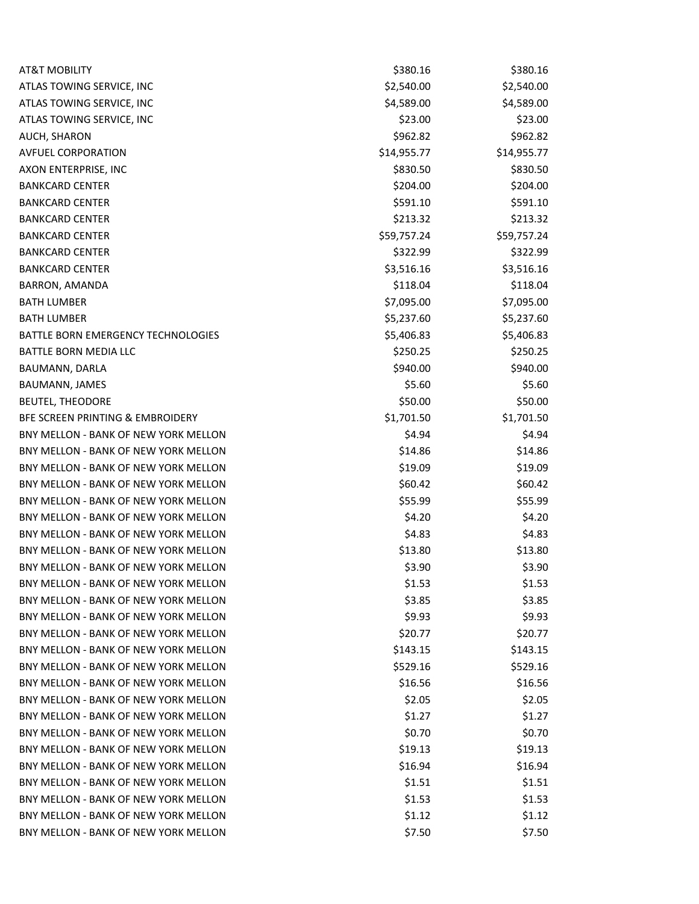| <b>AT&amp;T MOBILITY</b>             | \$380.16    | \$380.16    |
|--------------------------------------|-------------|-------------|
| ATLAS TOWING SERVICE, INC            | \$2,540.00  | \$2,540.00  |
| ATLAS TOWING SERVICE, INC            | \$4,589.00  | \$4,589.00  |
| ATLAS TOWING SERVICE, INC            | \$23.00     | \$23.00     |
| AUCH, SHARON                         | \$962.82    | \$962.82    |
| <b>AVFUEL CORPORATION</b>            | \$14,955.77 | \$14,955.77 |
| AXON ENTERPRISE, INC                 | \$830.50    | \$830.50    |
| <b>BANKCARD CENTER</b>               | \$204.00    | \$204.00    |
| <b>BANKCARD CENTER</b>               | \$591.10    | \$591.10    |
| <b>BANKCARD CENTER</b>               | \$213.32    | \$213.32    |
| <b>BANKCARD CENTER</b>               | \$59,757.24 | \$59,757.24 |
| <b>BANKCARD CENTER</b>               | \$322.99    | \$322.99    |
| <b>BANKCARD CENTER</b>               | \$3,516.16  | \$3,516.16  |
| <b>BARRON, AMANDA</b>                | \$118.04    | \$118.04    |
| <b>BATH LUMBER</b>                   | \$7,095.00  | \$7,095.00  |
| <b>BATH LUMBER</b>                   | \$5,237.60  | \$5,237.60  |
| BATTLE BORN EMERGENCY TECHNOLOGIES   | \$5,406.83  | \$5,406.83  |
| BATTLE BORN MEDIA LLC                | \$250.25    | \$250.25    |
| BAUMANN, DARLA                       | \$940.00    | \$940.00    |
| BAUMANN, JAMES                       | \$5.60      | \$5.60      |
| <b>BEUTEL, THEODORE</b>              | \$50.00     | \$50.00     |
| BFE SCREEN PRINTING & EMBROIDERY     | \$1,701.50  | \$1,701.50  |
| BNY MELLON - BANK OF NEW YORK MELLON | \$4.94      | \$4.94      |
| BNY MELLON - BANK OF NEW YORK MELLON | \$14.86     | \$14.86     |
| BNY MELLON - BANK OF NEW YORK MELLON | \$19.09     | \$19.09     |
| BNY MELLON - BANK OF NEW YORK MELLON | \$60.42     | \$60.42     |
| BNY MELLON - BANK OF NEW YORK MELLON | \$55.99     | \$55.99     |
| BNY MELLON - BANK OF NEW YORK MELLON | \$4.20      | \$4.20      |
| BNY MELLON - BANK OF NEW YORK MELLON | \$4.83      | \$4.83      |
| BNY MELLON - BANK OF NEW YORK MELLON | \$13.80     | \$13.80     |
| BNY MELLON - BANK OF NEW YORK MELLON | \$3.90      | \$3.90      |
| BNY MELLON - BANK OF NEW YORK MELLON | \$1.53      | \$1.53      |
| BNY MELLON - BANK OF NEW YORK MELLON | \$3.85      | \$3.85      |
| BNY MELLON - BANK OF NEW YORK MELLON | \$9.93      | \$9.93      |
| BNY MELLON - BANK OF NEW YORK MELLON | \$20.77     | \$20.77     |
| BNY MELLON - BANK OF NEW YORK MELLON | \$143.15    | \$143.15    |
| BNY MELLON - BANK OF NEW YORK MELLON | \$529.16    | \$529.16    |
| BNY MELLON - BANK OF NEW YORK MELLON | \$16.56     | \$16.56     |
| BNY MELLON - BANK OF NEW YORK MELLON | \$2.05      | \$2.05      |
| BNY MELLON - BANK OF NEW YORK MELLON | \$1.27      | \$1.27      |
| BNY MELLON - BANK OF NEW YORK MELLON | \$0.70      | \$0.70      |
| BNY MELLON - BANK OF NEW YORK MELLON | \$19.13     | \$19.13     |
| BNY MELLON - BANK OF NEW YORK MELLON | \$16.94     | \$16.94     |
| BNY MELLON - BANK OF NEW YORK MELLON | \$1.51      | \$1.51      |
| BNY MELLON - BANK OF NEW YORK MELLON | \$1.53      | \$1.53      |
| BNY MELLON - BANK OF NEW YORK MELLON | \$1.12      | \$1.12      |
| BNY MELLON - BANK OF NEW YORK MELLON | \$7.50      | \$7.50      |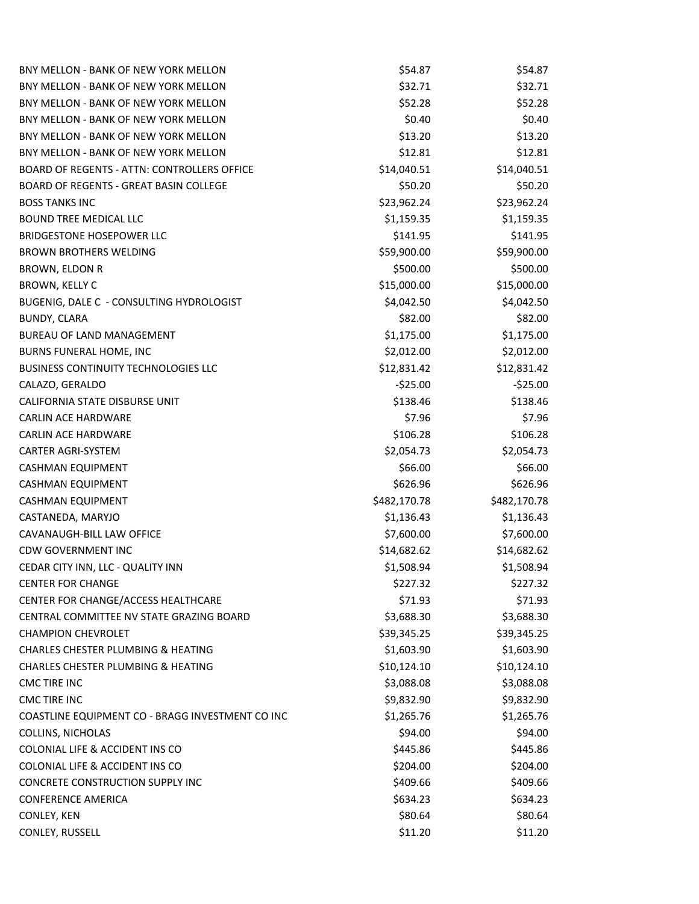| BNY MELLON - BANK OF NEW YORK MELLON             | \$54.87      | \$54.87      |
|--------------------------------------------------|--------------|--------------|
| BNY MELLON - BANK OF NEW YORK MELLON             | \$32.71      | \$32.71      |
| BNY MELLON - BANK OF NEW YORK MELLON             | \$52.28      | \$52.28      |
| BNY MELLON - BANK OF NEW YORK MELLON             | \$0.40       | \$0.40       |
| BNY MELLON - BANK OF NEW YORK MELLON             | \$13.20      | \$13.20      |
| BNY MELLON - BANK OF NEW YORK MELLON             | \$12.81      | \$12.81      |
| BOARD OF REGENTS - ATTN: CONTROLLERS OFFICE      | \$14,040.51  | \$14,040.51  |
| <b>BOARD OF REGENTS - GREAT BASIN COLLEGE</b>    | \$50.20      | \$50.20      |
| <b>BOSS TANKS INC</b>                            | \$23,962.24  | \$23,962.24  |
| <b>BOUND TREE MEDICAL LLC</b>                    | \$1,159.35   | \$1,159.35   |
| <b>BRIDGESTONE HOSEPOWER LLC</b>                 | \$141.95     | \$141.95     |
| <b>BROWN BROTHERS WELDING</b>                    | \$59,900.00  | \$59,900.00  |
| BROWN, ELDON R                                   | \$500.00     | \$500.00     |
| BROWN, KELLY C                                   | \$15,000.00  | \$15,000.00  |
| BUGENIG, DALE C - CONSULTING HYDROLOGIST         | \$4,042.50   | \$4,042.50   |
| <b>BUNDY, CLARA</b>                              | \$82.00      | \$82.00      |
| <b>BUREAU OF LAND MANAGEMENT</b>                 | \$1,175.00   | \$1,175.00   |
| BURNS FUNERAL HOME, INC                          | \$2,012.00   | \$2,012.00   |
| <b>BUSINESS CONTINUITY TECHNOLOGIES LLC</b>      | \$12,831.42  | \$12,831.42  |
| CALAZO, GERALDO                                  | $-525.00$    | $-525.00$    |
| CALIFORNIA STATE DISBURSE UNIT                   | \$138.46     | \$138.46     |
| <b>CARLIN ACE HARDWARE</b>                       | \$7.96       | \$7.96       |
| <b>CARLIN ACE HARDWARE</b>                       | \$106.28     | \$106.28     |
| <b>CARTER AGRI-SYSTEM</b>                        | \$2,054.73   | \$2,054.73   |
| CASHMAN EQUIPMENT                                | \$66.00      | \$66.00      |
| <b>CASHMAN EQUIPMENT</b>                         | \$626.96     | \$626.96     |
| CASHMAN EQUIPMENT                                | \$482,170.78 | \$482,170.78 |
| CASTANEDA, MARYJO                                | \$1,136.43   | \$1,136.43   |
| CAVANAUGH-BILL LAW OFFICE                        | \$7,600.00   | \$7,600.00   |
| <b>CDW GOVERNMENT INC</b>                        | \$14,682.62  | \$14,682.62  |
| CEDAR CITY INN, LLC - QUALITY INN                | \$1,508.94   | \$1,508.94   |
| <b>CENTER FOR CHANGE</b>                         | \$227.32     | \$227.32     |
| CENTER FOR CHANGE/ACCESS HEALTHCARE              | \$71.93      | \$71.93      |
| CENTRAL COMMITTEE NV STATE GRAZING BOARD         | \$3,688.30   | \$3,688.30   |
| <b>CHAMPION CHEVROLET</b>                        | \$39,345.25  | \$39,345.25  |
| <b>CHARLES CHESTER PLUMBING &amp; HEATING</b>    | \$1,603.90   | \$1,603.90   |
| <b>CHARLES CHESTER PLUMBING &amp; HEATING</b>    | \$10,124.10  | \$10,124.10  |
| CMC TIRE INC                                     | \$3,088.08   | \$3,088.08   |
| <b>CMC TIRE INC</b>                              | \$9,832.90   | \$9,832.90   |
| COASTLINE EQUIPMENT CO - BRAGG INVESTMENT CO INC | \$1,265.76   | \$1,265.76   |
| COLLINS, NICHOLAS                                | \$94.00      | \$94.00      |
| COLONIAL LIFE & ACCIDENT INS CO                  | \$445.86     | \$445.86     |
| COLONIAL LIFE & ACCIDENT INS CO                  | \$204.00     | \$204.00     |
| CONCRETE CONSTRUCTION SUPPLY INC                 | \$409.66     | \$409.66     |
| <b>CONFERENCE AMERICA</b>                        | \$634.23     | \$634.23     |
| CONLEY, KEN                                      | \$80.64      | \$80.64      |
| CONLEY, RUSSELL                                  | \$11.20      | \$11.20      |
|                                                  |              |              |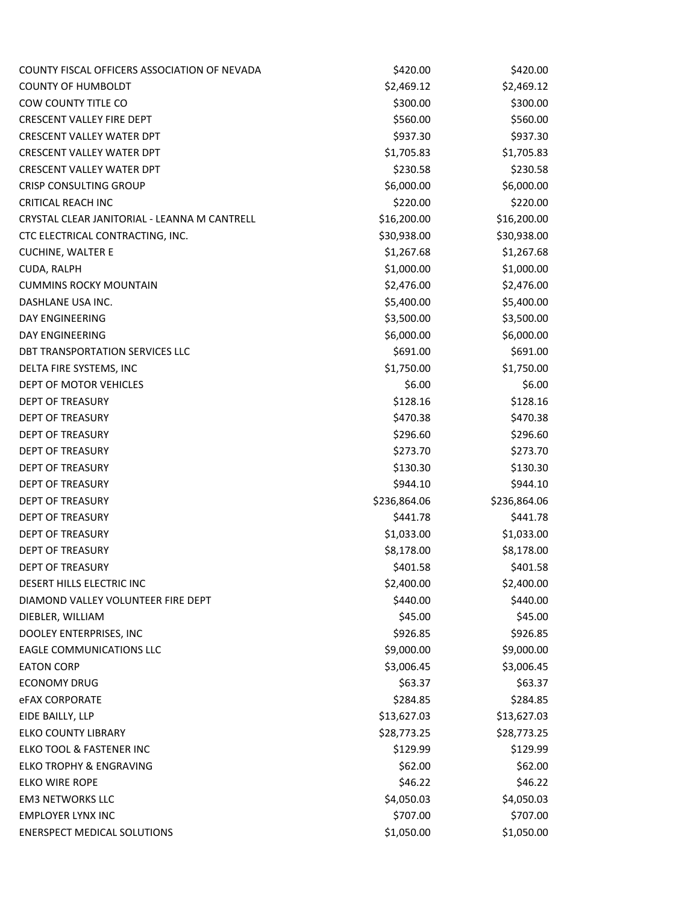| COUNTY FISCAL OFFICERS ASSOCIATION OF NEVADA | \$420.00     | \$420.00     |
|----------------------------------------------|--------------|--------------|
| <b>COUNTY OF HUMBOLDT</b>                    | \$2,469.12   | \$2,469.12   |
| COW COUNTY TITLE CO                          | \$300.00     | \$300.00     |
| <b>CRESCENT VALLEY FIRE DEPT</b>             | \$560.00     | \$560.00     |
| <b>CRESCENT VALLEY WATER DPT</b>             | \$937.30     | \$937.30     |
| <b>CRESCENT VALLEY WATER DPT</b>             | \$1,705.83   | \$1,705.83   |
| <b>CRESCENT VALLEY WATER DPT</b>             | \$230.58     | \$230.58     |
| <b>CRISP CONSULTING GROUP</b>                | \$6,000.00   | \$6,000.00   |
| <b>CRITICAL REACH INC</b>                    | \$220.00     | \$220.00     |
| CRYSTAL CLEAR JANITORIAL - LEANNA M CANTRELL | \$16,200.00  | \$16,200.00  |
| CTC ELECTRICAL CONTRACTING, INC.             | \$30,938.00  | \$30,938.00  |
| <b>CUCHINE, WALTER E</b>                     | \$1,267.68   | \$1,267.68   |
| CUDA, RALPH                                  | \$1,000.00   | \$1,000.00   |
| <b>CUMMINS ROCKY MOUNTAIN</b>                | \$2,476.00   | \$2,476.00   |
| DASHLANE USA INC.                            | \$5,400.00   | \$5,400.00   |
| DAY ENGINEERING                              | \$3,500.00   | \$3,500.00   |
| DAY ENGINEERING                              | \$6,000.00   | \$6,000.00   |
| DBT TRANSPORTATION SERVICES LLC              | \$691.00     | \$691.00     |
| DELTA FIRE SYSTEMS, INC                      | \$1,750.00   | \$1,750.00   |
| DEPT OF MOTOR VEHICLES                       | \$6.00       | \$6.00       |
| <b>DEPT OF TREASURY</b>                      | \$128.16     | \$128.16     |
| <b>DEPT OF TREASURY</b>                      | \$470.38     | \$470.38     |
| <b>DEPT OF TREASURY</b>                      | \$296.60     | \$296.60     |
| <b>DEPT OF TREASURY</b>                      | \$273.70     | \$273.70     |
| <b>DEPT OF TREASURY</b>                      | \$130.30     | \$130.30     |
| <b>DEPT OF TREASURY</b>                      | \$944.10     | \$944.10     |
| <b>DEPT OF TREASURY</b>                      | \$236,864.06 | \$236,864.06 |
| <b>DEPT OF TREASURY</b>                      | \$441.78     | \$441.78     |
| <b>DEPT OF TREASURY</b>                      | \$1,033.00   | \$1,033.00   |
| DEPT OF TREASURY                             | \$8,178.00   | \$8,178.00   |
| <b>DEPT OF TREASURY</b>                      | \$401.58     | \$401.58     |
| DESERT HILLS ELECTRIC INC                    | \$2,400.00   | \$2,400.00   |
| DIAMOND VALLEY VOLUNTEER FIRE DEPT           | \$440.00     | \$440.00     |
| DIEBLER, WILLIAM                             | \$45.00      | \$45.00      |
| DOOLEY ENTERPRISES, INC                      | \$926.85     | \$926.85     |
| <b>EAGLE COMMUNICATIONS LLC</b>              | \$9,000.00   | \$9,000.00   |
| <b>EATON CORP</b>                            | \$3,006.45   | \$3,006.45   |
| <b>ECONOMY DRUG</b>                          | \$63.37      | \$63.37      |
| <b>eFAX CORPORATE</b>                        | \$284.85     | \$284.85     |
| EIDE BAILLY, LLP                             | \$13,627.03  | \$13,627.03  |
| <b>ELKO COUNTY LIBRARY</b>                   | \$28,773.25  | \$28,773.25  |
| ELKO TOOL & FASTENER INC                     | \$129.99     | \$129.99     |
| <b>ELKO TROPHY &amp; ENGRAVING</b>           | \$62.00      | \$62.00      |
| ELKO WIRE ROPE                               | \$46.22      | \$46.22      |
| <b>EM3 NETWORKS LLC</b>                      | \$4,050.03   | \$4,050.03   |
| <b>EMPLOYER LYNX INC</b>                     | \$707.00     | \$707.00     |
| <b>ENERSPECT MEDICAL SOLUTIONS</b>           | \$1,050.00   | \$1,050.00   |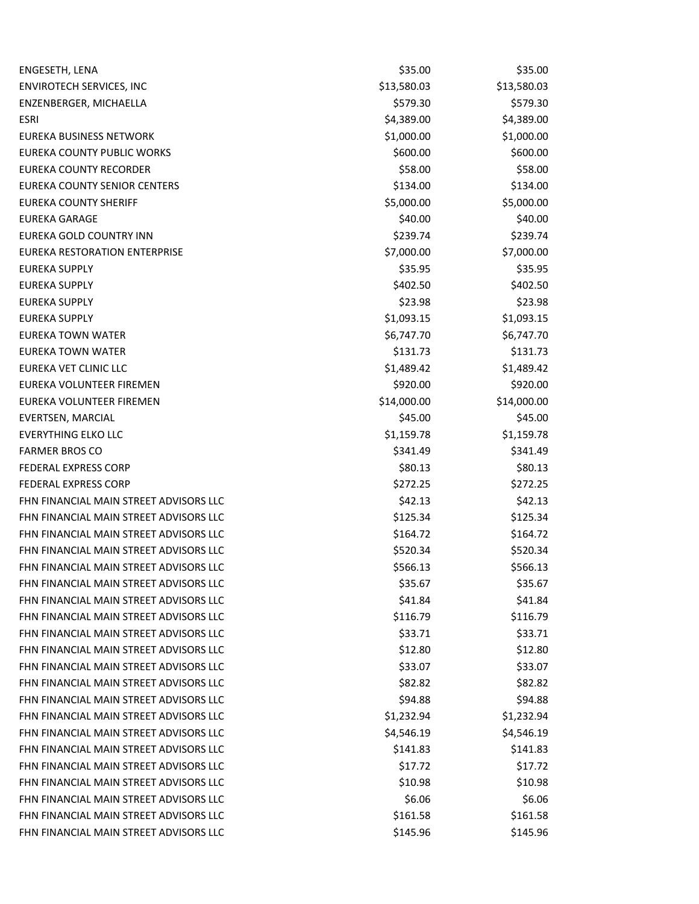| ENGESETH, LENA                         | \$35.00     | \$35.00     |
|----------------------------------------|-------------|-------------|
| ENVIROTECH SERVICES, INC               | \$13,580.03 | \$13,580.03 |
| ENZENBERGER, MICHAELLA                 | \$579.30    | \$579.30    |
| <b>ESRI</b>                            | \$4,389.00  | \$4,389.00  |
| EUREKA BUSINESS NETWORK                | \$1,000.00  | \$1,000.00  |
| EUREKA COUNTY PUBLIC WORKS             | \$600.00    | \$600.00    |
| EUREKA COUNTY RECORDER                 | \$58.00     | \$58.00     |
| EUREKA COUNTY SENIOR CENTERS           | \$134.00    | \$134.00    |
| <b>EUREKA COUNTY SHERIFF</b>           | \$5,000.00  | \$5,000.00  |
| <b>EUREKA GARAGE</b>                   | \$40.00     | \$40.00     |
| EUREKA GOLD COUNTRY INN                | \$239.74    | \$239.74    |
| EUREKA RESTORATION ENTERPRISE          | \$7,000.00  | \$7,000.00  |
| <b>EUREKA SUPPLY</b>                   | \$35.95     | \$35.95     |
| <b>EUREKA SUPPLY</b>                   | \$402.50    | \$402.50    |
| <b>EUREKA SUPPLY</b>                   | \$23.98     | \$23.98     |
| <b>EUREKA SUPPLY</b>                   | \$1,093.15  | \$1,093.15  |
| <b>EUREKA TOWN WATER</b>               | \$6,747.70  | \$6,747.70  |
| <b>EUREKA TOWN WATER</b>               | \$131.73    | \$131.73    |
| EUREKA VET CLINIC LLC                  | \$1,489.42  | \$1,489.42  |
| EUREKA VOLUNTEER FIREMEN               | \$920.00    | \$920.00    |
| EUREKA VOLUNTEER FIREMEN               | \$14,000.00 | \$14,000.00 |
| EVERTSEN, MARCIAL                      | \$45.00     | \$45.00     |
| <b>EVERYTHING ELKO LLC</b>             | \$1,159.78  | \$1,159.78  |
| <b>FARMER BROS CO</b>                  | \$341.49    | \$341.49    |
| <b>FEDERAL EXPRESS CORP</b>            | \$80.13     | \$80.13     |
| <b>FEDERAL EXPRESS CORP</b>            | \$272.25    | \$272.25    |
| FHN FINANCIAL MAIN STREET ADVISORS LLC | \$42.13     | \$42.13     |
| FHN FINANCIAL MAIN STREET ADVISORS LLC | \$125.34    | \$125.34    |
| FHN FINANCIAL MAIN STREET ADVISORS LLC | \$164.72    | \$164.72    |
| FHN FINANCIAL MAIN STREET ADVISORS LLC | \$520.34    | \$520.34    |
| FHN FINANCIAL MAIN STREET ADVISORS LLC | \$566.13    | \$566.13    |
| FHN FINANCIAL MAIN STREET ADVISORS LLC | \$35.67     | \$35.67     |
| FHN FINANCIAL MAIN STREET ADVISORS LLC | \$41.84     | \$41.84     |
| FHN FINANCIAL MAIN STREET ADVISORS LLC | \$116.79    | \$116.79    |
| FHN FINANCIAL MAIN STREET ADVISORS LLC | \$33.71     | \$33.71     |
| FHN FINANCIAL MAIN STREET ADVISORS LLC | \$12.80     | \$12.80     |
| FHN FINANCIAL MAIN STREET ADVISORS LLC | \$33.07     | \$33.07     |
| FHN FINANCIAL MAIN STREET ADVISORS LLC | \$82.82     | \$82.82     |
| FHN FINANCIAL MAIN STREET ADVISORS LLC | \$94.88     | \$94.88     |
| FHN FINANCIAL MAIN STREET ADVISORS LLC | \$1,232.94  | \$1,232.94  |
| FHN FINANCIAL MAIN STREET ADVISORS LLC | \$4,546.19  | \$4,546.19  |
| FHN FINANCIAL MAIN STREET ADVISORS LLC | \$141.83    | \$141.83    |
| FHN FINANCIAL MAIN STREET ADVISORS LLC | \$17.72     | \$17.72     |
| FHN FINANCIAL MAIN STREET ADVISORS LLC | \$10.98     | \$10.98     |
| FHN FINANCIAL MAIN STREET ADVISORS LLC | \$6.06      | \$6.06      |
| FHN FINANCIAL MAIN STREET ADVISORS LLC | \$161.58    | \$161.58    |
| FHN FINANCIAL MAIN STREET ADVISORS LLC | \$145.96    | \$145.96    |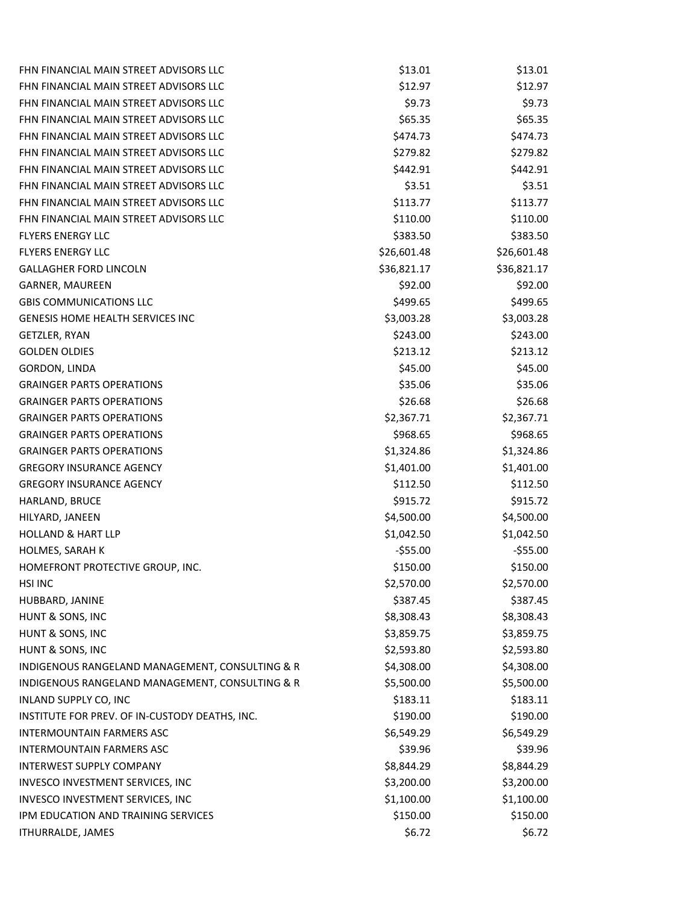| FHN FINANCIAL MAIN STREET ADVISORS LLC          | \$13.01     | \$13.01     |
|-------------------------------------------------|-------------|-------------|
| FHN FINANCIAL MAIN STREET ADVISORS LLC          | \$12.97     | \$12.97     |
| FHN FINANCIAL MAIN STREET ADVISORS LLC          | \$9.73      | \$9.73      |
| FHN FINANCIAL MAIN STREET ADVISORS LLC          | \$65.35     | \$65.35     |
| FHN FINANCIAL MAIN STREET ADVISORS LLC          | \$474.73    | \$474.73    |
| FHN FINANCIAL MAIN STREET ADVISORS LLC          | \$279.82    | \$279.82    |
| FHN FINANCIAL MAIN STREET ADVISORS LLC          | \$442.91    | \$442.91    |
| FHN FINANCIAL MAIN STREET ADVISORS LLC          | \$3.51      | \$3.51      |
| FHN FINANCIAL MAIN STREET ADVISORS LLC          | \$113.77    | \$113.77    |
| FHN FINANCIAL MAIN STREET ADVISORS LLC          | \$110.00    | \$110.00    |
| <b>FLYERS ENERGY LLC</b>                        | \$383.50    | \$383.50    |
| <b>FLYERS ENERGY LLC</b>                        | \$26,601.48 | \$26,601.48 |
| <b>GALLAGHER FORD LINCOLN</b>                   | \$36,821.17 | \$36,821.17 |
| GARNER, MAUREEN                                 | \$92.00     | \$92.00     |
| <b>GBIS COMMUNICATIONS LLC</b>                  | \$499.65    | \$499.65    |
| <b>GENESIS HOME HEALTH SERVICES INC</b>         | \$3,003.28  | \$3,003.28  |
| GETZLER, RYAN                                   | \$243.00    | \$243.00    |
| <b>GOLDEN OLDIES</b>                            | \$213.12    | \$213.12    |
| <b>GORDON, LINDA</b>                            | \$45.00     | \$45.00     |
| <b>GRAINGER PARTS OPERATIONS</b>                | \$35.06     | \$35.06     |
| <b>GRAINGER PARTS OPERATIONS</b>                | \$26.68     | \$26.68     |
| <b>GRAINGER PARTS OPERATIONS</b>                | \$2,367.71  | \$2,367.71  |
| <b>GRAINGER PARTS OPERATIONS</b>                | \$968.65    | \$968.65    |
| <b>GRAINGER PARTS OPERATIONS</b>                | \$1,324.86  | \$1,324.86  |
| <b>GREGORY INSURANCE AGENCY</b>                 | \$1,401.00  | \$1,401.00  |
| <b>GREGORY INSURANCE AGENCY</b>                 | \$112.50    | \$112.50    |
| HARLAND, BRUCE                                  | \$915.72    | \$915.72    |
| HILYARD, JANEEN                                 | \$4,500.00  | \$4,500.00  |
| <b>HOLLAND &amp; HART LLP</b>                   | \$1,042.50  | \$1,042.50  |
| HOLMES, SARAH K                                 | $-$55.00$   | $-555.00$   |
| HOMEFRONT PROTECTIVE GROUP, INC.                | \$150.00    | \$150.00    |
| <b>HSI INC</b>                                  | \$2,570.00  | \$2,570.00  |
| HUBBARD, JANINE                                 | \$387.45    | \$387.45    |
| HUNT & SONS, INC                                | \$8,308.43  | \$8,308.43  |
| HUNT & SONS, INC                                | \$3,859.75  | \$3,859.75  |
| HUNT & SONS, INC                                | \$2,593.80  | \$2,593.80  |
| INDIGENOUS RANGELAND MANAGEMENT, CONSULTING & R | \$4,308.00  | \$4,308.00  |
| INDIGENOUS RANGELAND MANAGEMENT, CONSULTING & R | \$5,500.00  | \$5,500.00  |
| INLAND SUPPLY CO, INC                           | \$183.11    | \$183.11    |
| INSTITUTE FOR PREV. OF IN-CUSTODY DEATHS, INC.  | \$190.00    | \$190.00    |
| <b>INTERMOUNTAIN FARMERS ASC</b>                | \$6,549.29  | \$6,549.29  |
| <b>INTERMOUNTAIN FARMERS ASC</b>                | \$39.96     | \$39.96     |
| <b>INTERWEST SUPPLY COMPANY</b>                 | \$8,844.29  | \$8,844.29  |
| INVESCO INVESTMENT SERVICES, INC                | \$3,200.00  | \$3,200.00  |
| INVESCO INVESTMENT SERVICES, INC                | \$1,100.00  | \$1,100.00  |
| IPM EDUCATION AND TRAINING SERVICES             | \$150.00    | \$150.00    |
| ITHURRALDE, JAMES                               | \$6.72      | \$6.72      |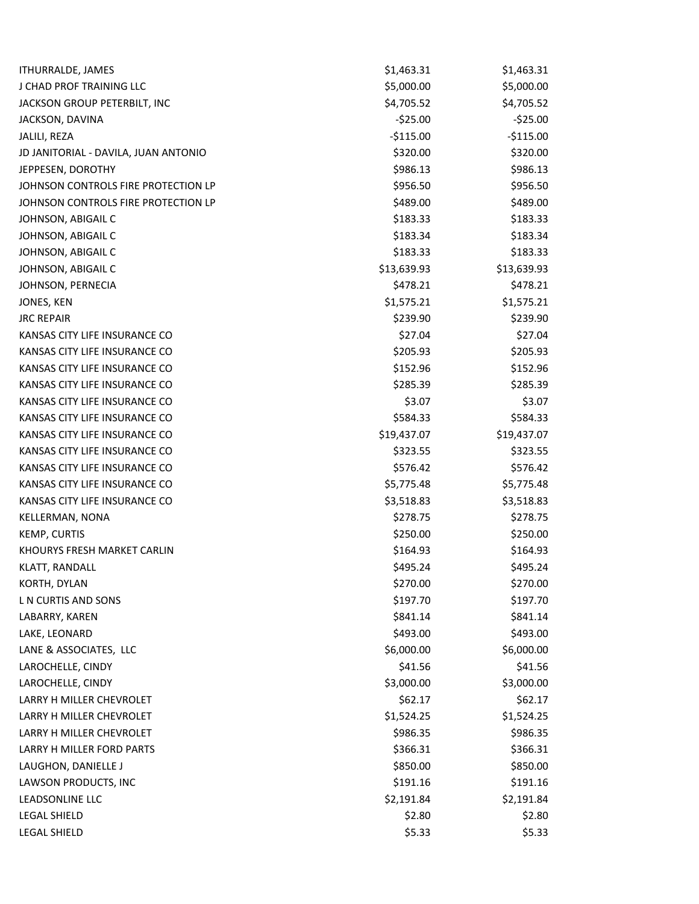| <b>ITHURRALDE, JAMES</b>             | \$1,463.31  | \$1,463.31  |
|--------------------------------------|-------------|-------------|
| J CHAD PROF TRAINING LLC             | \$5,000.00  | \$5,000.00  |
| JACKSON GROUP PETERBILT, INC         | \$4,705.52  | \$4,705.52  |
| JACKSON, DAVINA                      | $-525.00$   | $-$25.00$   |
| JALILI, REZA                         | $-5115.00$  | $-$115.00$  |
| JD JANITORIAL - DAVILA, JUAN ANTONIO | \$320.00    | \$320.00    |
| JEPPESEN, DOROTHY                    | \$986.13    | \$986.13    |
| JOHNSON CONTROLS FIRE PROTECTION LP  | \$956.50    | \$956.50    |
| JOHNSON CONTROLS FIRE PROTECTION LP  | \$489.00    | \$489.00    |
| JOHNSON, ABIGAIL C                   | \$183.33    | \$183.33    |
| JOHNSON, ABIGAIL C                   | \$183.34    | \$183.34    |
| JOHNSON, ABIGAIL C                   | \$183.33    | \$183.33    |
| JOHNSON, ABIGAIL C                   | \$13,639.93 | \$13,639.93 |
| JOHNSON, PERNECIA                    | \$478.21    | \$478.21    |
| JONES, KEN                           | \$1,575.21  | \$1,575.21  |
| <b>JRC REPAIR</b>                    | \$239.90    | \$239.90    |
| KANSAS CITY LIFE INSURANCE CO        | \$27.04     | \$27.04     |
| KANSAS CITY LIFE INSURANCE CO        | \$205.93    | \$205.93    |
| KANSAS CITY LIFE INSURANCE CO        | \$152.96    | \$152.96    |
| KANSAS CITY LIFE INSURANCE CO        | \$285.39    | \$285.39    |
| KANSAS CITY LIFE INSURANCE CO        | \$3.07      | \$3.07      |
| KANSAS CITY LIFE INSURANCE CO        | \$584.33    | \$584.33    |
| KANSAS CITY LIFE INSURANCE CO        | \$19,437.07 | \$19,437.07 |
| KANSAS CITY LIFE INSURANCE CO        | \$323.55    | \$323.55    |
| KANSAS CITY LIFE INSURANCE CO        | \$576.42    | \$576.42    |
| KANSAS CITY LIFE INSURANCE CO        | \$5,775.48  | \$5,775.48  |
| KANSAS CITY LIFE INSURANCE CO        | \$3,518.83  | \$3,518.83  |
| KELLERMAN, NONA                      | \$278.75    | \$278.75    |
| KEMP, CURTIS                         | \$250.00    | \$250.00    |
| KHOURYS FRESH MARKET CARLIN          | \$164.93    | \$164.93    |
| KLATT, RANDALL                       | \$495.24    | \$495.24    |
| KORTH, DYLAN                         | \$270.00    | \$270.00    |
| L N CURTIS AND SONS                  | \$197.70    | \$197.70    |
| LABARRY, KAREN                       | \$841.14    | \$841.14    |
| LAKE, LEONARD                        | \$493.00    | \$493.00    |
| LANE & ASSOCIATES, LLC               | \$6,000.00  | \$6,000.00  |
| LAROCHELLE, CINDY                    | \$41.56     | \$41.56     |
| LAROCHELLE, CINDY                    | \$3,000.00  | \$3,000.00  |
| LARRY H MILLER CHEVROLET             | \$62.17     | \$62.17     |
| LARRY H MILLER CHEVROLET             | \$1,524.25  | \$1,524.25  |
| LARRY H MILLER CHEVROLET             | \$986.35    | \$986.35    |
| LARRY H MILLER FORD PARTS            | \$366.31    | \$366.31    |
| LAUGHON, DANIELLE J                  | \$850.00    | \$850.00    |
| LAWSON PRODUCTS, INC                 | \$191.16    | \$191.16    |
| LEADSONLINE LLC                      | \$2,191.84  | \$2,191.84  |
| LEGAL SHIELD                         | \$2.80      | \$2.80      |
| LEGAL SHIELD                         | \$5.33      | \$5.33      |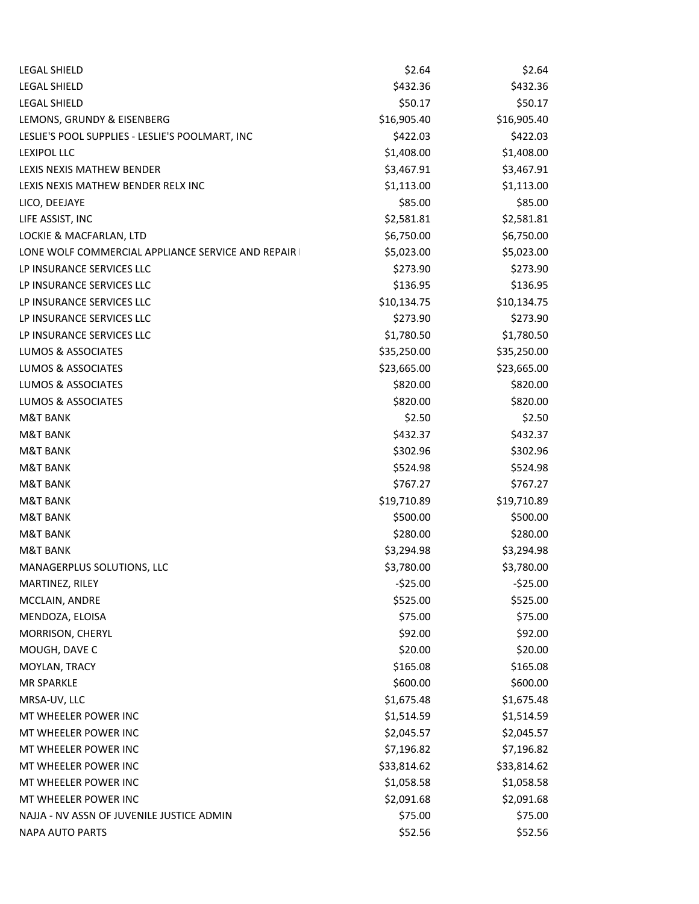| <b>LEGAL SHIELD</b>                                 | \$2.64      | \$2.64      |
|-----------------------------------------------------|-------------|-------------|
| <b>LEGAL SHIELD</b>                                 | \$432.36    | \$432.36    |
| <b>LEGAL SHIELD</b>                                 | \$50.17     | \$50.17     |
| LEMONS, GRUNDY & EISENBERG                          | \$16,905.40 | \$16,905.40 |
| LESLIE'S POOL SUPPLIES - LESLIE'S POOLMART, INC     | \$422.03    | \$422.03    |
| <b>LEXIPOL LLC</b>                                  | \$1,408.00  | \$1,408.00  |
| LEXIS NEXIS MATHEW BENDER                           | \$3,467.91  | \$3,467.91  |
| LEXIS NEXIS MATHEW BENDER RELX INC                  | \$1,113.00  | \$1,113.00  |
| LICO, DEEJAYE                                       | \$85.00     | \$85.00     |
| LIFE ASSIST, INC                                    | \$2,581.81  | \$2,581.81  |
| LOCKIE & MACFARLAN, LTD                             | \$6,750.00  | \$6,750.00  |
| LONE WOLF COMMERCIAL APPLIANCE SERVICE AND REPAIR I | \$5,023.00  | \$5,023.00  |
| LP INSURANCE SERVICES LLC                           | \$273.90    | \$273.90    |
| LP INSURANCE SERVICES LLC                           | \$136.95    | \$136.95    |
| LP INSURANCE SERVICES LLC                           | \$10,134.75 | \$10,134.75 |
| LP INSURANCE SERVICES LLC                           | \$273.90    | \$273.90    |
| LP INSURANCE SERVICES LLC                           | \$1,780.50  | \$1,780.50  |
| LUMOS & ASSOCIATES                                  | \$35,250.00 | \$35,250.00 |
| LUMOS & ASSOCIATES                                  | \$23,665.00 | \$23,665.00 |
| <b>LUMOS &amp; ASSOCIATES</b>                       | \$820.00    | \$820.00    |
| LUMOS & ASSOCIATES                                  | \$820.00    | \$820.00    |
| <b>M&amp;T BANK</b>                                 | \$2.50      | \$2.50      |
| <b>M&amp;T BANK</b>                                 | \$432.37    | \$432.37    |
| <b>M&amp;T BANK</b>                                 | \$302.96    | \$302.96    |
| <b>M&amp;T BANK</b>                                 | \$524.98    | \$524.98    |
| <b>M&amp;T BANK</b>                                 | \$767.27    | \$767.27    |
| <b>M&amp;T BANK</b>                                 | \$19,710.89 | \$19,710.89 |
| <b>M&amp;T BANK</b>                                 | \$500.00    | \$500.00    |
| <b>M&amp;T BANK</b>                                 | \$280.00    | \$280.00    |
| <b>M&amp;T BANK</b>                                 | \$3,294.98  | \$3,294.98  |
| MANAGERPLUS SOLUTIONS, LLC                          | \$3,780.00  | \$3,780.00  |
| MARTINEZ, RILEY                                     | $-525.00$   | $-525.00$   |
| MCCLAIN, ANDRE                                      | \$525.00    | \$525.00    |
| MENDOZA, ELOISA                                     | \$75.00     | \$75.00     |
| MORRISON, CHERYL                                    | \$92.00     | \$92.00     |
| MOUGH, DAVE C                                       | \$20.00     | \$20.00     |
| MOYLAN, TRACY                                       | \$165.08    | \$165.08    |
| <b>MR SPARKLE</b>                                   | \$600.00    | \$600.00    |
| MRSA-UV, LLC                                        | \$1,675.48  | \$1,675.48  |
| MT WHEELER POWER INC                                | \$1,514.59  | \$1,514.59  |
| MT WHEELER POWER INC                                | \$2,045.57  | \$2,045.57  |
| MT WHEELER POWER INC                                | \$7,196.82  | \$7,196.82  |
| MT WHEELER POWER INC                                | \$33,814.62 | \$33,814.62 |
| MT WHEELER POWER INC                                | \$1,058.58  | \$1,058.58  |
| MT WHEELER POWER INC                                | \$2,091.68  | \$2,091.68  |
| NAJJA - NV ASSN OF JUVENILE JUSTICE ADMIN           | \$75.00     | \$75.00     |
| <b>NAPA AUTO PARTS</b>                              | \$52.56     | \$52.56     |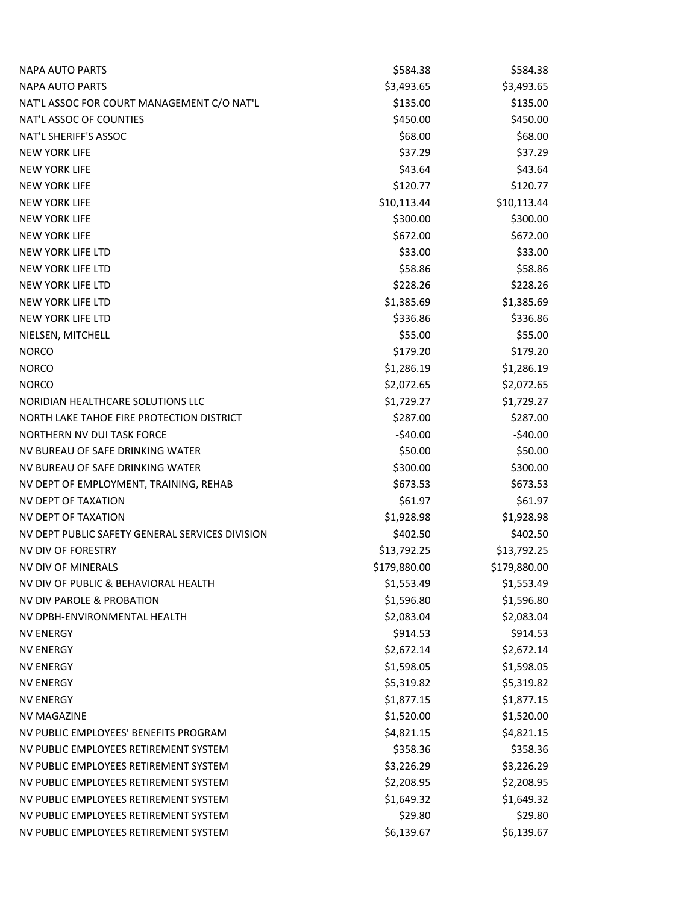| <b>NAPA AUTO PARTS</b>                          | \$584.38     | \$584.38     |
|-------------------------------------------------|--------------|--------------|
| <b>NAPA AUTO PARTS</b>                          | \$3,493.65   | \$3,493.65   |
| NAT'L ASSOC FOR COURT MANAGEMENT C/O NAT'L      | \$135.00     | \$135.00     |
| NAT'L ASSOC OF COUNTIES                         | \$450.00     | \$450.00     |
| NAT'L SHERIFF'S ASSOC                           | \$68.00      | \$68.00      |
| <b>NEW YORK LIFE</b>                            | \$37.29      | \$37.29      |
| <b>NEW YORK LIFE</b>                            | \$43.64      | \$43.64      |
| <b>NEW YORK LIFE</b>                            | \$120.77     | \$120.77     |
| <b>NEW YORK LIFE</b>                            | \$10,113.44  | \$10,113.44  |
| <b>NEW YORK LIFE</b>                            | \$300.00     | \$300.00     |
| <b>NEW YORK LIFE</b>                            | \$672.00     | \$672.00     |
| NEW YORK LIFE LTD                               | \$33.00      | \$33.00      |
| NEW YORK LIFE LTD                               | \$58.86      | \$58.86      |
| NEW YORK LIFE LTD                               | \$228.26     | \$228.26     |
| NEW YORK LIFE LTD                               | \$1,385.69   | \$1,385.69   |
| NEW YORK LIFE LTD                               | \$336.86     | \$336.86     |
| NIELSEN, MITCHELL                               | \$55.00      | \$55.00      |
| <b>NORCO</b>                                    | \$179.20     | \$179.20     |
| <b>NORCO</b>                                    | \$1,286.19   | \$1,286.19   |
| <b>NORCO</b>                                    | \$2,072.65   | \$2,072.65   |
| NORIDIAN HEALTHCARE SOLUTIONS LLC               | \$1,729.27   | \$1,729.27   |
| NORTH LAKE TAHOE FIRE PROTECTION DISTRICT       | \$287.00     | \$287.00     |
| <b>NORTHERN NV DUI TASK FORCE</b>               | $-540.00$    | $-$40.00$    |
| NV BUREAU OF SAFE DRINKING WATER                | \$50.00      | \$50.00      |
| NV BUREAU OF SAFE DRINKING WATER                | \$300.00     | \$300.00     |
| NV DEPT OF EMPLOYMENT, TRAINING, REHAB          | \$673.53     | \$673.53     |
| NV DEPT OF TAXATION                             | \$61.97      | \$61.97      |
| NV DEPT OF TAXATION                             | \$1,928.98   | \$1,928.98   |
| NV DEPT PUBLIC SAFETY GENERAL SERVICES DIVISION | \$402.50     | \$402.50     |
| NV DIV OF FORESTRY                              | \$13,792.25  | \$13,792.25  |
| <b>NV DIV OF MINERALS</b>                       | \$179,880.00 | \$179,880.00 |
| NV DIV OF PUBLIC & BEHAVIORAL HEALTH            | \$1,553.49   | \$1,553.49   |
| NV DIV PAROLE & PROBATION                       | \$1,596.80   | \$1,596.80   |
| NV DPBH-ENVIRONMENTAL HEALTH                    | \$2,083.04   | \$2,083.04   |
| <b>NV ENERGY</b>                                | \$914.53     | \$914.53     |
| <b>NV ENERGY</b>                                | \$2,672.14   | \$2,672.14   |
| <b>NV ENERGY</b>                                | \$1,598.05   | \$1,598.05   |
| <b>NV ENERGY</b>                                | \$5,319.82   | \$5,319.82   |
| <b>NV ENERGY</b>                                | \$1,877.15   | \$1,877.15   |
| <b>NV MAGAZINE</b>                              | \$1,520.00   | \$1,520.00   |
| NV PUBLIC EMPLOYEES' BENEFITS PROGRAM           | \$4,821.15   | \$4,821.15   |
| NV PUBLIC EMPLOYEES RETIREMENT SYSTEM           | \$358.36     | \$358.36     |
| NV PUBLIC EMPLOYEES RETIREMENT SYSTEM           | \$3,226.29   | \$3,226.29   |
| NV PUBLIC EMPLOYEES RETIREMENT SYSTEM           | \$2,208.95   | \$2,208.95   |
| NV PUBLIC EMPLOYEES RETIREMENT SYSTEM           | \$1,649.32   | \$1,649.32   |
| NV PUBLIC EMPLOYEES RETIREMENT SYSTEM           | \$29.80      | \$29.80      |
| NV PUBLIC EMPLOYEES RETIREMENT SYSTEM           | \$6,139.67   | \$6,139.67   |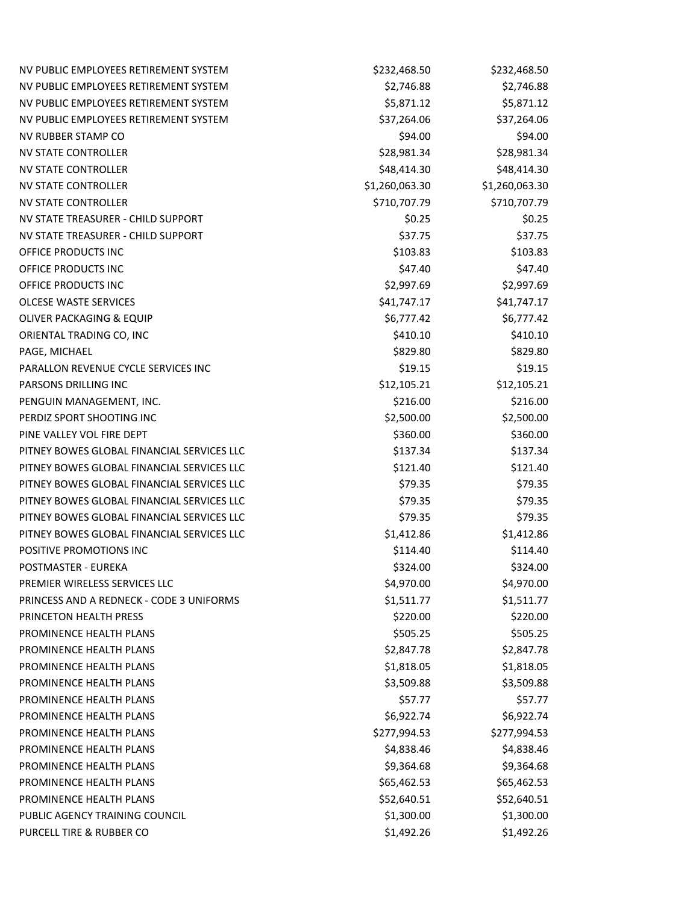| NV PUBLIC EMPLOYEES RETIREMENT SYSTEM      | \$232,468.50   | \$232,468.50   |  |
|--------------------------------------------|----------------|----------------|--|
| NV PUBLIC EMPLOYEES RETIREMENT SYSTEM      | \$2,746.88     | \$2,746.88     |  |
| NV PUBLIC EMPLOYEES RETIREMENT SYSTEM      | \$5,871.12     | \$5,871.12     |  |
| NV PUBLIC EMPLOYEES RETIREMENT SYSTEM      | \$37,264.06    | \$37,264.06    |  |
| <b>NV RUBBER STAMP CO</b>                  | \$94.00        | \$94.00        |  |
| <b>NV STATE CONTROLLER</b>                 | \$28,981.34    | \$28,981.34    |  |
| <b>NV STATE CONTROLLER</b>                 | \$48,414.30    | \$48,414.30    |  |
| <b>NV STATE CONTROLLER</b>                 | \$1,260,063.30 | \$1,260,063.30 |  |
| <b>NV STATE CONTROLLER</b>                 | \$710,707.79   | \$710,707.79   |  |
| NV STATE TREASURER - CHILD SUPPORT         | \$0.25         | \$0.25         |  |
| NV STATE TREASURER - CHILD SUPPORT         | \$37.75        | \$37.75        |  |
| OFFICE PRODUCTS INC                        | \$103.83       | \$103.83       |  |
| OFFICE PRODUCTS INC                        | \$47.40        | \$47.40        |  |
| OFFICE PRODUCTS INC                        | \$2,997.69     | \$2,997.69     |  |
| <b>OLCESE WASTE SERVICES</b>               | \$41,747.17    | \$41,747.17    |  |
| OLIVER PACKAGING & EQUIP                   | \$6,777.42     | \$6,777.42     |  |
| ORIENTAL TRADING CO, INC                   | \$410.10       | \$410.10       |  |
| PAGE, MICHAEL                              | \$829.80       | \$829.80       |  |
| PARALLON REVENUE CYCLE SERVICES INC        | \$19.15        | \$19.15        |  |
| PARSONS DRILLING INC                       | \$12,105.21    | \$12,105.21    |  |
| PENGUIN MANAGEMENT, INC.                   | \$216.00       | \$216.00       |  |
| PERDIZ SPORT SHOOTING INC                  | \$2,500.00     | \$2,500.00     |  |
| PINE VALLEY VOL FIRE DEPT                  | \$360.00       | \$360.00       |  |
| PITNEY BOWES GLOBAL FINANCIAL SERVICES LLC | \$137.34       | \$137.34       |  |
| PITNEY BOWES GLOBAL FINANCIAL SERVICES LLC | \$121.40       | \$121.40       |  |
| PITNEY BOWES GLOBAL FINANCIAL SERVICES LLC | \$79.35        | \$79.35        |  |
| PITNEY BOWES GLOBAL FINANCIAL SERVICES LLC | \$79.35        | \$79.35        |  |
| PITNEY BOWES GLOBAL FINANCIAL SERVICES LLC | \$79.35        | \$79.35        |  |
| PITNEY BOWES GLOBAL FINANCIAL SERVICES LLC | \$1,412.86     | \$1,412.86     |  |
| POSITIVE PROMOTIONS INC                    | \$114.40       | \$114.40       |  |
| POSTMASTER - EUREKA                        | \$324.00       | \$324.00       |  |
| PREMIER WIRELESS SERVICES LLC              | \$4,970.00     | \$4,970.00     |  |
| PRINCESS AND A REDNECK - CODE 3 UNIFORMS   | \$1,511.77     | \$1,511.77     |  |
| PRINCETON HEALTH PRESS                     | \$220.00       | \$220.00       |  |
| PROMINENCE HEALTH PLANS                    | \$505.25       | \$505.25       |  |
| PROMINENCE HEALTH PLANS                    | \$2,847.78     | \$2,847.78     |  |
| PROMINENCE HEALTH PLANS                    | \$1,818.05     | \$1,818.05     |  |
| PROMINENCE HEALTH PLANS                    | \$3,509.88     | \$3,509.88     |  |
| PROMINENCE HEALTH PLANS                    | \$57.77        | \$57.77        |  |
| PROMINENCE HEALTH PLANS                    | \$6,922.74     | \$6,922.74     |  |
| PROMINENCE HEALTH PLANS                    | \$277,994.53   | \$277,994.53   |  |
| PROMINENCE HEALTH PLANS                    | \$4,838.46     | \$4,838.46     |  |
| PROMINENCE HEALTH PLANS                    | \$9,364.68     | \$9,364.68     |  |
| PROMINENCE HEALTH PLANS                    | \$65,462.53    | \$65,462.53    |  |
| PROMINENCE HEALTH PLANS                    | \$52,640.51    | \$52,640.51    |  |
| PUBLIC AGENCY TRAINING COUNCIL             | \$1,300.00     | \$1,300.00     |  |
| PURCELL TIRE & RUBBER CO                   | \$1,492.26     | \$1,492.26     |  |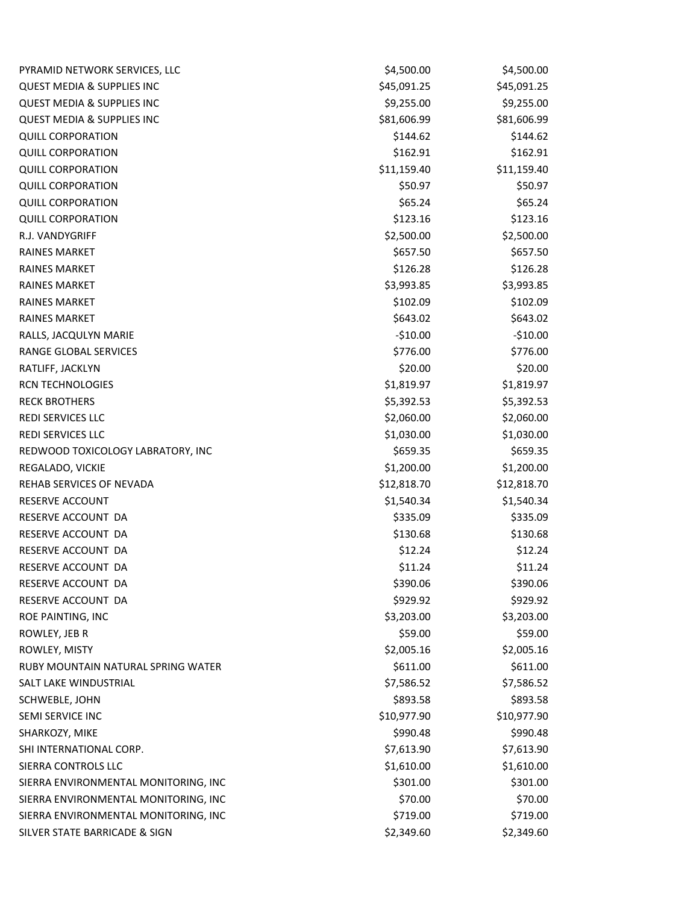| PYRAMID NETWORK SERVICES, LLC         | \$4,500.00  | \$4,500.00  |
|---------------------------------------|-------------|-------------|
| <b>QUEST MEDIA &amp; SUPPLIES INC</b> | \$45,091.25 | \$45,091.25 |
| <b>QUEST MEDIA &amp; SUPPLIES INC</b> | \$9,255.00  | \$9,255.00  |
| <b>QUEST MEDIA &amp; SUPPLIES INC</b> | \$81,606.99 | \$81,606.99 |
| <b>QUILL CORPORATION</b>              | \$144.62    | \$144.62    |
| <b>QUILL CORPORATION</b>              | \$162.91    | \$162.91    |
| <b>QUILL CORPORATION</b>              | \$11,159.40 | \$11,159.40 |
| <b>QUILL CORPORATION</b>              | \$50.97     | \$50.97     |
| <b>QUILL CORPORATION</b>              | \$65.24     | \$65.24     |
| <b>QUILL CORPORATION</b>              | \$123.16    | \$123.16    |
| R.J. VANDYGRIFF                       | \$2,500.00  | \$2,500.00  |
| <b>RAINES MARKET</b>                  | \$657.50    | \$657.50    |
| <b>RAINES MARKET</b>                  | \$126.28    | \$126.28    |
| <b>RAINES MARKET</b>                  | \$3,993.85  | \$3,993.85  |
| <b>RAINES MARKET</b>                  | \$102.09    | \$102.09    |
| <b>RAINES MARKET</b>                  | \$643.02    | \$643.02    |
| RALLS, JACQULYN MARIE                 | $-$10.00$   | $-510.00$   |
| RANGE GLOBAL SERVICES                 | \$776.00    | \$776.00    |
| RATLIFF, JACKLYN                      | \$20.00     | \$20.00     |
| <b>RCN TECHNOLOGIES</b>               | \$1,819.97  | \$1,819.97  |
| <b>RECK BROTHERS</b>                  | \$5,392.53  | \$5,392.53  |
| REDI SERVICES LLC                     | \$2,060.00  | \$2,060.00  |
| <b>REDI SERVICES LLC</b>              | \$1,030.00  | \$1,030.00  |
| REDWOOD TOXICOLOGY LABRATORY, INC     | \$659.35    | \$659.35    |
| REGALADO, VICKIE                      | \$1,200.00  | \$1,200.00  |
| REHAB SERVICES OF NEVADA              | \$12,818.70 | \$12,818.70 |
| RESERVE ACCOUNT                       | \$1,540.34  | \$1,540.34  |
| RESERVE ACCOUNT DA                    | \$335.09    | \$335.09    |
| RESERVE ACCOUNT DA                    | \$130.68    | \$130.68    |
| RESERVE ACCOUNT DA                    | \$12.24     | \$12.24     |
| RESERVE ACCOUNT DA                    | \$11.24     | \$11.24     |
| RESERVE ACCOUNT DA                    | \$390.06    | \$390.06    |
| RESERVE ACCOUNT DA                    | \$929.92    | \$929.92    |
| ROE PAINTING, INC                     | \$3,203.00  | \$3,203.00  |
| ROWLEY, JEB R                         | \$59.00     | \$59.00     |
| ROWLEY, MISTY                         | \$2,005.16  | \$2,005.16  |
| RUBY MOUNTAIN NATURAL SPRING WATER    | \$611.00    | \$611.00    |
| SALT LAKE WINDUSTRIAL                 | \$7,586.52  | \$7,586.52  |
| SCHWEBLE, JOHN                        | \$893.58    | \$893.58    |
| SEMI SERVICE INC                      | \$10,977.90 | \$10,977.90 |
| SHARKOZY, MIKE                        | \$990.48    | \$990.48    |
| SHI INTERNATIONAL CORP.               | \$7,613.90  | \$7,613.90  |
| SIERRA CONTROLS LLC                   | \$1,610.00  | \$1,610.00  |
| SIERRA ENVIRONMENTAL MONITORING, INC  | \$301.00    | \$301.00    |
| SIERRA ENVIRONMENTAL MONITORING, INC  | \$70.00     | \$70.00     |
| SIERRA ENVIRONMENTAL MONITORING, INC  | \$719.00    | \$719.00    |
| SILVER STATE BARRICADE & SIGN         | \$2,349.60  | \$2,349.60  |
|                                       |             |             |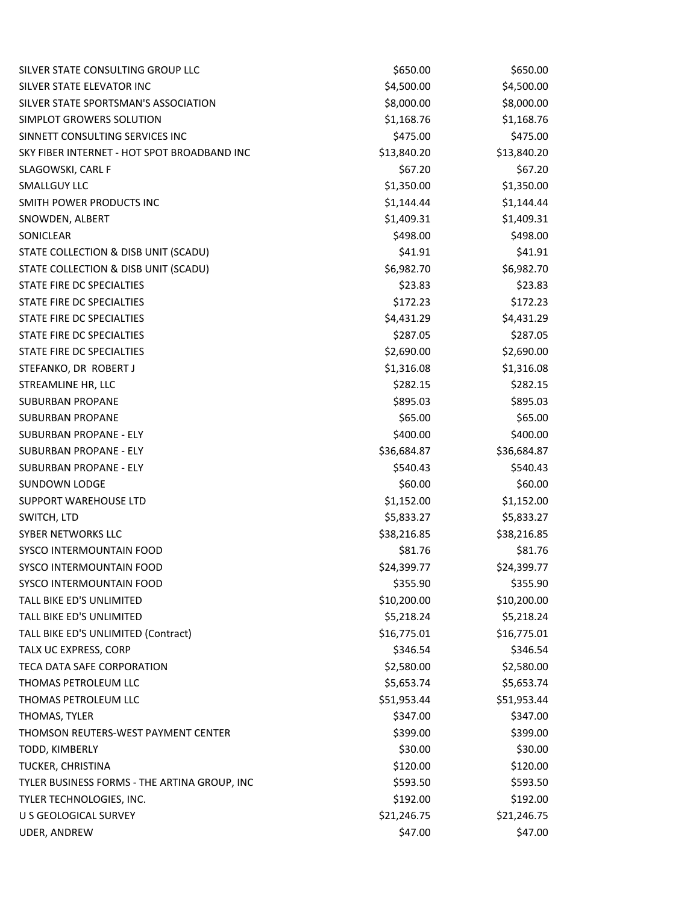| SILVER STATE CONSULTING GROUP LLC            | \$650.00    | \$650.00    |
|----------------------------------------------|-------------|-------------|
| SILVER STATE ELEVATOR INC                    | \$4,500.00  | \$4,500.00  |
| SILVER STATE SPORTSMAN'S ASSOCIATION         | \$8,000.00  | \$8,000.00  |
| SIMPLOT GROWERS SOLUTION                     | \$1,168.76  | \$1,168.76  |
| SINNETT CONSULTING SERVICES INC              | \$475.00    | \$475.00    |
| SKY FIBER INTERNET - HOT SPOT BROADBAND INC  | \$13,840.20 | \$13,840.20 |
| SLAGOWSKI, CARL F                            | \$67.20     | \$67.20     |
| <b>SMALLGUY LLC</b>                          | \$1,350.00  | \$1,350.00  |
| SMITH POWER PRODUCTS INC                     | \$1,144.44  | \$1,144.44  |
| SNOWDEN, ALBERT                              | \$1,409.31  | \$1,409.31  |
| SONICLEAR                                    | \$498.00    | \$498.00    |
| STATE COLLECTION & DISB UNIT (SCADU)         | \$41.91     | \$41.91     |
| STATE COLLECTION & DISB UNIT (SCADU)         | \$6,982.70  | \$6,982.70  |
| STATE FIRE DC SPECIALTIES                    | \$23.83     | \$23.83     |
| STATE FIRE DC SPECIALTIES                    | \$172.23    | \$172.23    |
| STATE FIRE DC SPECIALTIES                    | \$4,431.29  | \$4,431.29  |
| STATE FIRE DC SPECIALTIES                    | \$287.05    | \$287.05    |
| STATE FIRE DC SPECIALTIES                    | \$2,690.00  | \$2,690.00  |
| STEFANKO, DR ROBERT J                        | \$1,316.08  | \$1,316.08  |
| STREAMLINE HR, LLC                           | \$282.15    | \$282.15    |
| <b>SUBURBAN PROPANE</b>                      | \$895.03    | \$895.03    |
| <b>SUBURBAN PROPANE</b>                      | \$65.00     | \$65.00     |
| SUBURBAN PROPANE - ELY                       | \$400.00    | \$400.00    |
| SUBURBAN PROPANE - ELY                       | \$36,684.87 | \$36,684.87 |
| SUBURBAN PROPANE - ELY                       | \$540.43    | \$540.43    |
| <b>SUNDOWN LODGE</b>                         | \$60.00     | \$60.00     |
| SUPPORT WAREHOUSE LTD                        | \$1,152.00  | \$1,152.00  |
| SWITCH, LTD                                  | \$5,833.27  | \$5,833.27  |
| SYBER NETWORKS LLC                           | \$38,216.85 | \$38,216.85 |
| SYSCO INTERMOUNTAIN FOOD                     | \$81.76     | \$81.76     |
| <b>SYSCO INTERMOUNTAIN FOOD</b>              | \$24,399.77 | \$24,399.77 |
| SYSCO INTERMOUNTAIN FOOD                     | \$355.90    | \$355.90    |
| TALL BIKE ED'S UNLIMITED                     | \$10,200.00 | \$10,200.00 |
| TALL BIKE ED'S UNLIMITED                     | \$5,218.24  | \$5,218.24  |
| TALL BIKE ED'S UNLIMITED (Contract)          | \$16,775.01 | \$16,775.01 |
| TALX UC EXPRESS, CORP                        | \$346.54    | \$346.54    |
| <b>TECA DATA SAFE CORPORATION</b>            | \$2,580.00  | \$2,580.00  |
| THOMAS PETROLEUM LLC                         | \$5,653.74  | \$5,653.74  |
| THOMAS PETROLEUM LLC                         | \$51,953.44 | \$51,953.44 |
| THOMAS, TYLER                                | \$347.00    | \$347.00    |
| THOMSON REUTERS-WEST PAYMENT CENTER          | \$399.00    | \$399.00    |
| TODD, KIMBERLY                               | \$30.00     | \$30.00     |
| TUCKER, CHRISTINA                            | \$120.00    | \$120.00    |
| TYLER BUSINESS FORMS - THE ARTINA GROUP, INC | \$593.50    | \$593.50    |
| TYLER TECHNOLOGIES, INC.                     | \$192.00    | \$192.00    |
| U S GEOLOGICAL SURVEY                        | \$21,246.75 | \$21,246.75 |
| UDER, ANDREW                                 | \$47.00     | \$47.00     |
|                                              |             |             |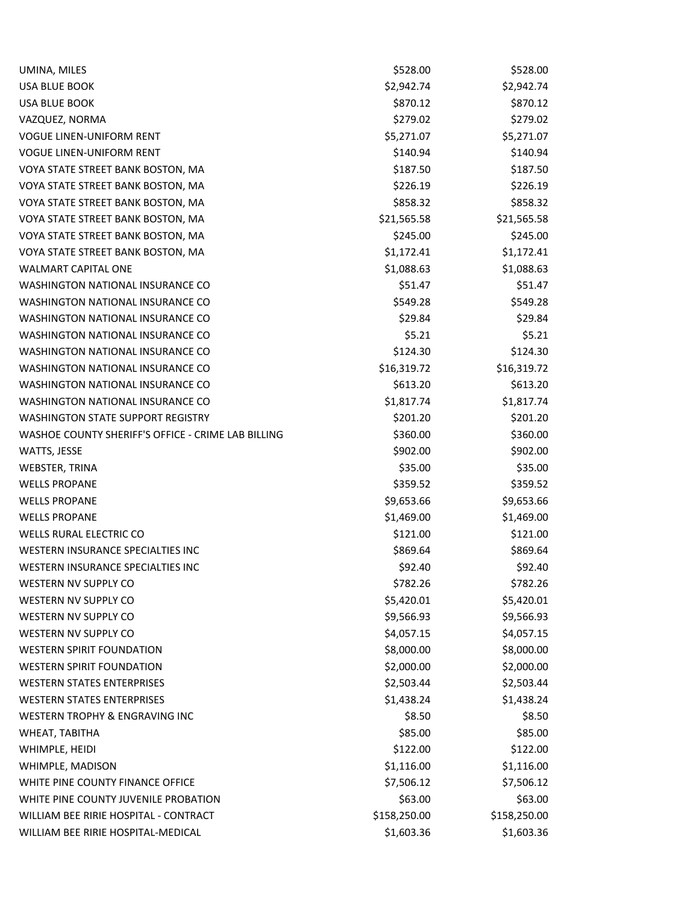| UMINA, MILES                                       | \$528.00     | \$528.00     |
|----------------------------------------------------|--------------|--------------|
| <b>USA BLUE BOOK</b>                               | \$2,942.74   | \$2,942.74   |
| <b>USA BLUE BOOK</b>                               | \$870.12     | \$870.12     |
| VAZQUEZ, NORMA                                     | \$279.02     | \$279.02     |
| <b>VOGUE LINEN-UNIFORM RENT</b>                    | \$5,271.07   | \$5,271.07   |
| <b>VOGUE LINEN-UNIFORM RENT</b>                    | \$140.94     | \$140.94     |
| VOYA STATE STREET BANK BOSTON, MA                  | \$187.50     | \$187.50     |
| VOYA STATE STREET BANK BOSTON, MA                  | \$226.19     | \$226.19     |
| VOYA STATE STREET BANK BOSTON, MA                  | \$858.32     | \$858.32     |
| VOYA STATE STREET BANK BOSTON, MA                  | \$21,565.58  | \$21,565.58  |
| VOYA STATE STREET BANK BOSTON, MA                  | \$245.00     | \$245.00     |
| VOYA STATE STREET BANK BOSTON, MA                  | \$1,172.41   | \$1,172.41   |
| <b>WALMART CAPITAL ONE</b>                         | \$1,088.63   | \$1,088.63   |
| WASHINGTON NATIONAL INSURANCE CO                   | \$51.47      | \$51.47      |
| WASHINGTON NATIONAL INSURANCE CO                   | \$549.28     | \$549.28     |
| WASHINGTON NATIONAL INSURANCE CO                   | \$29.84      | \$29.84      |
| WASHINGTON NATIONAL INSURANCE CO                   | \$5.21       | \$5.21       |
| <b>WASHINGTON NATIONAL INSURANCE CO</b>            | \$124.30     | \$124.30     |
| WASHINGTON NATIONAL INSURANCE CO                   | \$16,319.72  | \$16,319.72  |
| WASHINGTON NATIONAL INSURANCE CO                   | \$613.20     | \$613.20     |
| WASHINGTON NATIONAL INSURANCE CO                   | \$1,817.74   | \$1,817.74   |
| <b>WASHINGTON STATE SUPPORT REGISTRY</b>           | \$201.20     | \$201.20     |
| WASHOE COUNTY SHERIFF'S OFFICE - CRIME LAB BILLING | \$360.00     | \$360.00     |
| WATTS, JESSE                                       | \$902.00     | \$902.00     |
| WEBSTER, TRINA                                     | \$35.00      | \$35.00      |
| <b>WELLS PROPANE</b>                               | \$359.52     | \$359.52     |
| <b>WELLS PROPANE</b>                               | \$9,653.66   | \$9,653.66   |
| <b>WELLS PROPANE</b>                               | \$1,469.00   | \$1,469.00   |
| <b>WELLS RURAL ELECTRIC CO</b>                     | \$121.00     | \$121.00     |
| WESTERN INSURANCE SPECIALTIES INC                  | \$869.64     | \$869.64     |
| WESTERN INSURANCE SPECIALTIES INC                  | \$92.40      | \$92.40      |
| <b>WESTERN NV SUPPLY CO</b>                        | \$782.26     | \$782.26     |
| WESTERN NV SUPPLY CO                               | \$5,420.01   | \$5,420.01   |
| WESTERN NV SUPPLY CO                               | \$9,566.93   | \$9,566.93   |
| WESTERN NV SUPPLY CO                               | \$4,057.15   | \$4,057.15   |
| <b>WESTERN SPIRIT FOUNDATION</b>                   | \$8,000.00   | \$8,000.00   |
| <b>WESTERN SPIRIT FOUNDATION</b>                   | \$2,000.00   | \$2,000.00   |
| <b>WESTERN STATES ENTERPRISES</b>                  | \$2,503.44   | \$2,503.44   |
| <b>WESTERN STATES ENTERPRISES</b>                  | \$1,438.24   | \$1,438.24   |
| WESTERN TROPHY & ENGRAVING INC                     | \$8.50       | \$8.50       |
| WHEAT, TABITHA                                     | \$85.00      | \$85.00      |
| WHIMPLE, HEIDI                                     | \$122.00     | \$122.00     |
| WHIMPLE, MADISON                                   | \$1,116.00   | \$1,116.00   |
| WHITE PINE COUNTY FINANCE OFFICE                   | \$7,506.12   | \$7,506.12   |
| WHITE PINE COUNTY JUVENILE PROBATION               | \$63.00      | \$63.00      |
| WILLIAM BEE RIRIE HOSPITAL - CONTRACT              | \$158,250.00 | \$158,250.00 |
| WILLIAM BEE RIRIE HOSPITAL-MEDICAL                 | \$1,603.36   | \$1,603.36   |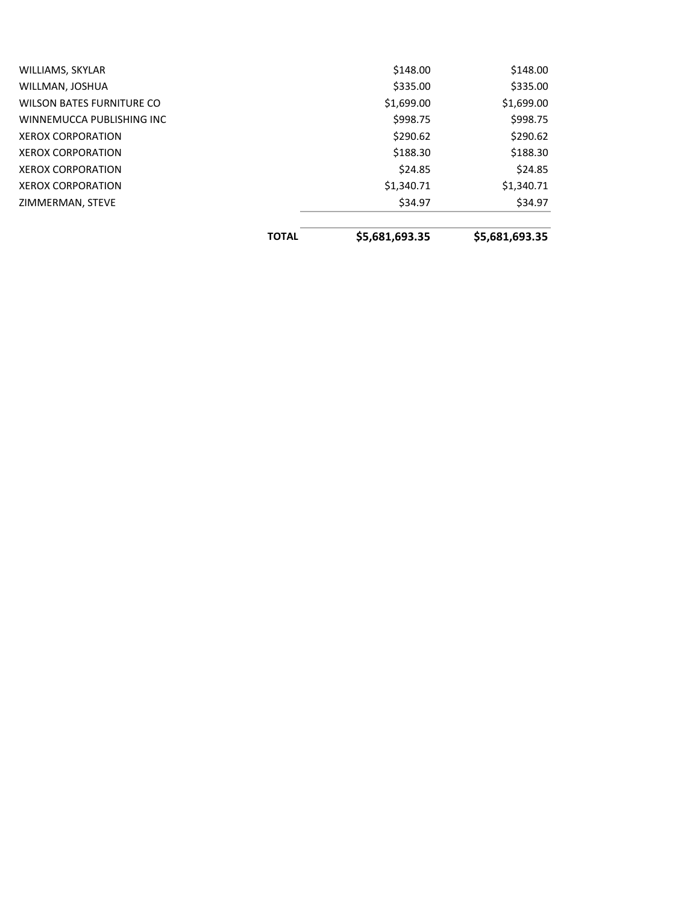|                                  | <b>TOTAL</b> | \$5,681,693.35 | \$5,681,693.35 |
|----------------------------------|--------------|----------------|----------------|
|                                  |              |                |                |
| ZIMMERMAN, STEVE                 |              | \$34.97        | \$34.97        |
| <b>XEROX CORPORATION</b>         |              | \$1,340.71     | \$1,340.71     |
| <b>XEROX CORPORATION</b>         |              | \$24.85        | \$24.85        |
| <b>XEROX CORPORATION</b>         |              | \$188.30       | \$188.30       |
| <b>XEROX CORPORATION</b>         |              | \$290.62       | \$290.62       |
| WINNEMUCCA PUBLISHING INC        |              | \$998.75       | \$998.75       |
| <b>WILSON BATES FURNITURE CO</b> |              | \$1,699.00     | \$1,699.00     |
| WILLMAN, JOSHUA                  |              | \$335.00       | \$335.00       |
| WILLIAMS, SKYLAR                 |              | \$148.00       | \$148.00       |